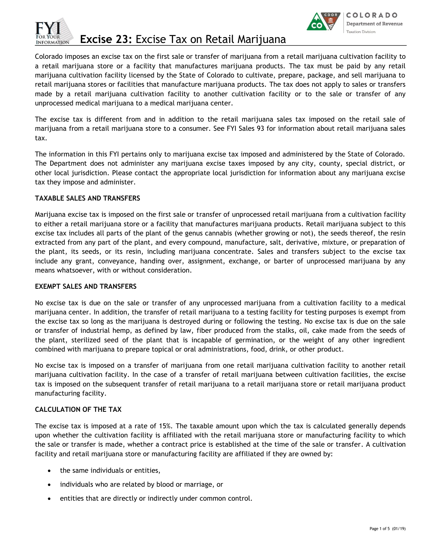

**Excise 23:** Excise Tax on Retail Marijuana



Colorado imposes an excise tax on the first sale or transfer of marijuana from a retail marijuana cultivation facility to a retail marijuana store or a facility that manufactures marijuana products. The tax must be paid by any retail marijuana cultivation facility licensed by the State of Colorado to cultivate, prepare, package, and sell marijuana to retail marijuana stores or facilities that manufacture marijuana products. The tax does not apply to sales or transfers made by a retail marijuana cultivation facility to another cultivation facility or to the sale or transfer of any unprocessed medical marijuana to a medical marijuana center.

The excise tax is different from and in addition to the retail marijuana sales tax imposed on the retail sale of marijuana from a retail marijuana store to a consumer. See FYI Sales 93 for information about retail marijuana sales tax.

The information in this FYI pertains only to marijuana excise tax imposed and administered by the State of Colorado. The Department does not administer any marijuana excise taxes imposed by any city, county, special district, or other local jurisdiction. Please contact the appropriate local jurisdiction for information about any marijuana excise tax they impose and administer.

### **TAXABLE SALES AND TRANSFERS**

Marijuana excise tax is imposed on the first sale or transfer of unprocessed retail marijuana from a cultivation facility to either a retail marijuana store or a facility that manufactures marijuana products. Retail marijuana subject to this excise tax includes all parts of the plant of the genus cannabis (whether growing or not), the seeds thereof, the resin extracted from any part of the plant, and every compound, manufacture, salt, derivative, mixture, or preparation of the plant, its seeds, or its resin, including marijuana concentrate. Sales and transfers subject to the excise tax include any grant, conveyance, handing over, assignment, exchange, or barter of unprocessed marijuana by any means whatsoever, with or without consideration.

### **EXEMPT SALES AND TRANSFERS**

No excise tax is due on the sale or transfer of any unprocessed marijuana from a cultivation facility to a medical marijuana center. In addition, the transfer of retail marijuana to a testing facility for testing purposes is exempt from the excise tax so long as the marijuana is destroyed during or following the testing. No excise tax is due on the sale or transfer of industrial hemp, as defined by law, fiber produced from the stalks, oil, cake made from the seeds of the plant, sterilized seed of the plant that is incapable of germination, or the weight of any other ingredient combined with marijuana to prepare topical or oral administrations, food, drink, or other product.

No excise tax is imposed on a transfer of marijuana from one retail marijuana cultivation facility to another retail marijuana cultivation facility. In the case of a transfer of retail marijuana between cultivation facilities, the excise tax is imposed on the subsequent transfer of retail marijuana to a retail marijuana store or retail marijuana product manufacturing facility.

## **CALCULATION OF THE TAX**

The excise tax is imposed at a rate of 15%. The taxable amount upon which the tax is calculated generally depends upon whether the cultivation facility is affiliated with the retail marijuana store or manufacturing facility to which the sale or transfer is made, whether a contract price is established at the time of the sale or transfer. A cultivation facility and retail marijuana store or manufacturing facility are affiliated if they are owned by:

- the same individuals or entities,
- individuals who are related by blood or marriage, or
- entities that are directly or indirectly under common control.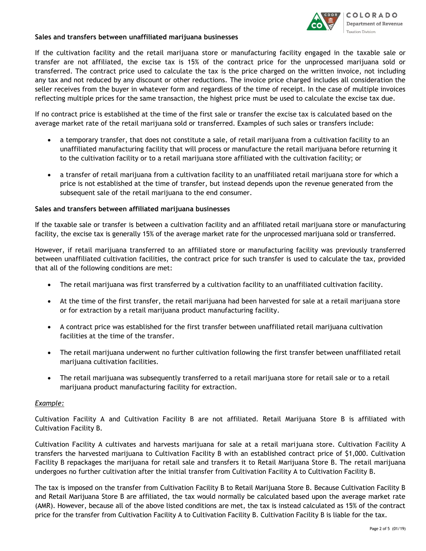# **Sales and transfers between unaffiliated marijuana businesses**



If the cultivation facility and the retail marijuana store or manufacturing facility engaged in the taxable sale or transfer are not affiliated, the excise tax is 15% of the contract price for the unprocessed marijuana sold or transferred. The contract price used to calculate the tax is the price charged on the written invoice, not including any tax and not reduced by any discount or other reductions. The invoice price charged includes all consideration the seller receives from the buyer in whatever form and regardless of the time of receipt. In the case of multiple invoices reflecting multiple prices for the same transaction, the highest price must be used to calculate the excise tax due.

If no contract price is established at the time of the first sale or transfer the excise tax is calculated based on the average market rate of the retail marijuana sold or transferred. Examples of such sales or transfers include:

- a temporary transfer, that does not constitute a sale, of retail marijuana from a cultivation facility to an unaffiliated manufacturing facility that will process or manufacture the retail marijuana before returning it to the cultivation facility or to a retail marijuana store affiliated with the cultivation facility; or
- a transfer of retail marijuana from a cultivation facility to an unaffiliated retail marijuana store for which a price is not established at the time of transfer, but instead depends upon the revenue generated from the subsequent sale of the retail marijuana to the end consumer.

## **Sales and transfers between affiliated marijuana businesses**

If the taxable sale or transfer is between a cultivation facility and an affiliated retail marijuana store or manufacturing facility, the excise tax is generally 15% of the average market rate for the unprocessed marijuana sold or transferred.

However, if retail marijuana transferred to an affiliated store or manufacturing facility was previously transferred between unaffiliated cultivation facilities, the contract price for such transfer is used to calculate the tax, provided that all of the following conditions are met:

- The retail marijuana was first transferred by a cultivation facility to an unaffiliated cultivation facility.
- At the time of the first transfer, the retail marijuana had been harvested for sale at a retail marijuana store or for extraction by a retail marijuana product manufacturing facility.
- A contract price was established for the first transfer between unaffiliated retail marijuana cultivation facilities at the time of the transfer.
- The retail marijuana underwent no further cultivation following the first transfer between unaffiliated retail marijuana cultivation facilities.
- The retail marijuana was subsequently transferred to a retail marijuana store for retail sale or to a retail marijuana product manufacturing facility for extraction.

## *Example:*

Cultivation Facility A and Cultivation Facility B are not affiliated. Retail Marijuana Store B is affiliated with Cultivation Facility B.

Cultivation Facility A cultivates and harvests marijuana for sale at a retail marijuana store. Cultivation Facility A transfers the harvested marijuana to Cultivation Facility B with an established contract price of \$1,000. Cultivation Facility B repackages the marijuana for retail sale and transfers it to Retail Marijuana Store B. The retail marijuana undergoes no further cultivation after the initial transfer from Cultivation Facility A to Cultivation Facility B.

The tax is imposed on the transfer from Cultivation Facility B to Retail Marijuana Store B. Because Cultivation Facility B and Retail Marijuana Store B are affiliated, the tax would normally be calculated based upon the average market rate (AMR). However, because all of the above listed conditions are met, the tax is instead calculated as 15% of the contract price for the transfer from Cultivation Facility A to Cultivation Facility B. Cultivation Facility B is liable for the tax.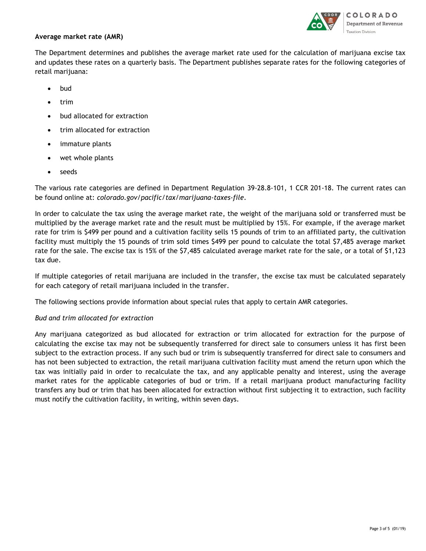

### **Average market rate (AMR)**

The Department determines and publishes the average market rate used for the calculation of marijuana excise tax and updates these rates on a quarterly basis. The Department publishes separate rates for the following categories of retail marijuana:

- bud
- trim
- bud allocated for extraction
- trim allocated for extraction
- immature plants
- wet whole plants
- seeds

The various rate categories are defined in Department Regulation 39-28.8-101, 1 CCR 201-18. The current rates can be found online at: *colorado.gov/pacific/tax/marijuana-taxes-file*.

In order to calculate the tax using the average market rate, the weight of the marijuana sold or transferred must be multiplied by the average market rate and the result must be multiplied by 15%. For example, if the average market rate for trim is \$499 per pound and a cultivation facility sells 15 pounds of trim to an affiliated party, the cultivation facility must multiply the 15 pounds of trim sold times \$499 per pound to calculate the total \$7,485 average market rate for the sale. The excise tax is 15% of the \$7,485 calculated average market rate for the sale, or a total of \$1,123 tax due.

If multiple categories of retail marijuana are included in the transfer, the excise tax must be calculated separately for each category of retail marijuana included in the transfer.

The following sections provide information about special rules that apply to certain AMR categories.

### *Bud and trim allocated for extraction*

Any marijuana categorized as bud allocated for extraction or trim allocated for extraction for the purpose of calculating the excise tax may not be subsequently transferred for direct sale to consumers unless it has first been subject to the extraction process. If any such bud or trim is subsequently transferred for direct sale to consumers and has not been subjected to extraction, the retail marijuana cultivation facility must amend the return upon which the tax was initially paid in order to recalculate the tax, and any applicable penalty and interest, using the average market rates for the applicable categories of bud or trim. If a retail marijuana product manufacturing facility transfers any bud or trim that has been allocated for extraction without first subjecting it to extraction, such facility must notify the cultivation facility, in writing, within seven days.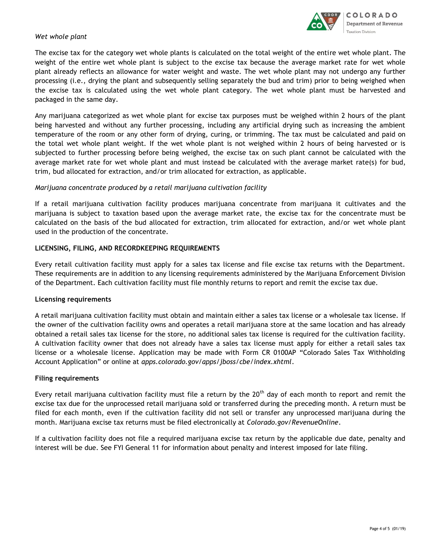

## *Wet whole plant*

The excise tax for the category wet whole plants is calculated on the total weight of the entire wet whole plant. The weight of the entire wet whole plant is subject to the excise tax because the average market rate for wet whole plant already reflects an allowance for water weight and waste. The wet whole plant may not undergo any further processing (i.e., drying the plant and subsequently selling separately the bud and trim) prior to being weighed when the excise tax is calculated using the wet whole plant category. The wet whole plant must be harvested and packaged in the same day.

Any marijuana categorized as wet whole plant for excise tax purposes must be weighed within 2 hours of the plant being harvested and without any further processing, including any artificial drying such as increasing the ambient temperature of the room or any other form of drying, curing, or trimming. The tax must be calculated and paid on the total wet whole plant weight. If the wet whole plant is not weighed within 2 hours of being harvested or is subjected to further processing before being weighed, the excise tax on such plant cannot be calculated with the average market rate for wet whole plant and must instead be calculated with the average market rate(s) for bud, trim, bud allocated for extraction, and/or trim allocated for extraction, as applicable.

### *Marijuana concentrate produced by a retail marijuana cultivation facility*

If a retail marijuana cultivation facility produces marijuana concentrate from marijuana it cultivates and the marijuana is subject to taxation based upon the average market rate, the excise tax for the concentrate must be calculated on the basis of the bud allocated for extraction, trim allocated for extraction, and/or wet whole plant used in the production of the concentrate.

### **LICENSING, FILING, AND RECORDKEEPING REQUIREMENTS**

Every retail cultivation facility must apply for a sales tax license and file excise tax returns with the Department. These requirements are in addition to any licensing requirements administered by the Marijuana Enforcement Division of the Department. Each cultivation facility must file monthly returns to report and remit the excise tax due.

### **Licensing requirements**

A retail marijuana cultivation facility must obtain and maintain either a sales tax license or a wholesale tax license. If the owner of the cultivation facility owns and operates a retail marijuana store at the same location and has already obtained a retail sales tax license for the store, no additional sales tax license is required for the cultivation facility. A cultivation facility owner that does not already have a sales tax license must apply for either a retail sales tax license or a wholesale license. Application may be made with Form CR 0100AP "Colorado Sales Tax Withholding Account Application" or online at *apps.colorado.gov/apps/jboss/cbe/index.xhtml*.

### **Filing requirements**

Every retail marijuana cultivation facility must file a return by the  $20<sup>th</sup>$  day of each month to report and remit the excise tax due for the unprocessed retail marijuana sold or transferred during the preceding month. A return must be filed for each month, even if the cultivation facility did not sell or transfer any unprocessed marijuana during the month. Marijuana excise tax returns must be filed electronically at *Colorado.gov/RevenueOnline*.

If a cultivation facility does not file a required marijuana excise tax return by the applicable due date, penalty and interest will be due. See FYI General 11 for information about penalty and interest imposed for late filing.